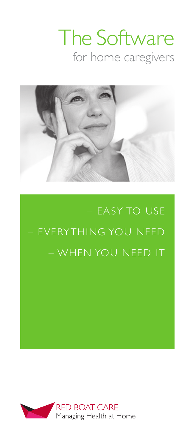# The Software for home caregivers



– EASY TO USE – EVERYTHING YOU NEED – WHEN YOU NEED IT

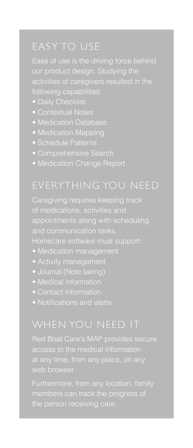# EASY TO USE

activities of caregivers resulted in the

- Daily Checklist
- Contextual Notes
- Medication Database
- Medication Mapping
- Schedule Patterns
- Comprehensive Search
- Medication Change Report

## EVERYTHING YOU NEED

of medications, activities and appointments along with scheduling

- Medication management
- Activity management
- Journal (Note taking)
- 
- 
- Notifications and alerts

### WHEN YOU NEED IT

Red Boat Care's MAP provides secure access to the medical information web browser.

the person receiving care.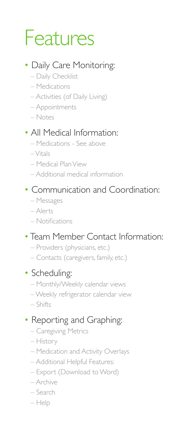# Features

### • Daily Care Monitoring:

- Daily Checklist
- Medications
- Activities (of Daily Living)
- Appointments
- Notes

### • All Medical Information:

- Medications See above
- Vitals
- Medical Plan View
- Additional medical information

### • Communication and Coordination:

- Messages
- Alerts
- Notifications

### • Team Member Contact Information:

- Providers (physicians, etc.)
- Contacts (caregivers, family, etc.)

#### • Scheduling:

- Monthly/Weekly calendar views
- Weekly refrigerator calendar view
- Shifts

### • Reporting and Graphing:

- Caregiving Metrics
- History
- Medication and Activity Overlays
- Additional Helpful Features:
- Export (Download to Word)
- Archive
- Search
- Help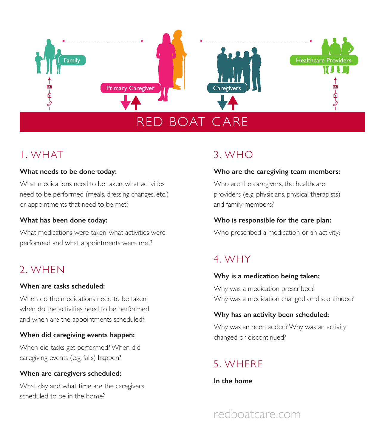

### 1. WHAT

#### **What needs to be done today:**

What medications need to be taken, what activities need to be performed (meals, dressing changes, etc.) or appointments that need to be met?

#### **What has been done today:**

What medications were taken, what activities were performed and what appointments were met?

### 2. WHEN

#### **When are tasks scheduled:**

When do the medications need to be taken. when do the activities need to be performed and when are the appointments scheduled?

#### **When did caregiving events happen:**

When did tasks get performed? When did caregiving events (e.g. falls) happen?

#### **When are caregivers scheduled:**

What day and what time are the caregivers scheduled to be in the home?

## 3. WHO

#### **Who are the caregiving team members:**

Who are the caregivers, the healthcare providers (e.g. physicians, physical therapists) and family members?

#### **Who is responsible for the care plan:**

Who prescribed a medication or an activity?

### 4. WHY

#### **Why is a medication being taken:**

Why was a medication prescribed? Why was a medication changed or discontinued?

#### **Why has an activity been scheduled:**

Why was an been added? Why was an activity changed or discontinued?

# 5. WHERE

**In the home**

# redboatcare.com